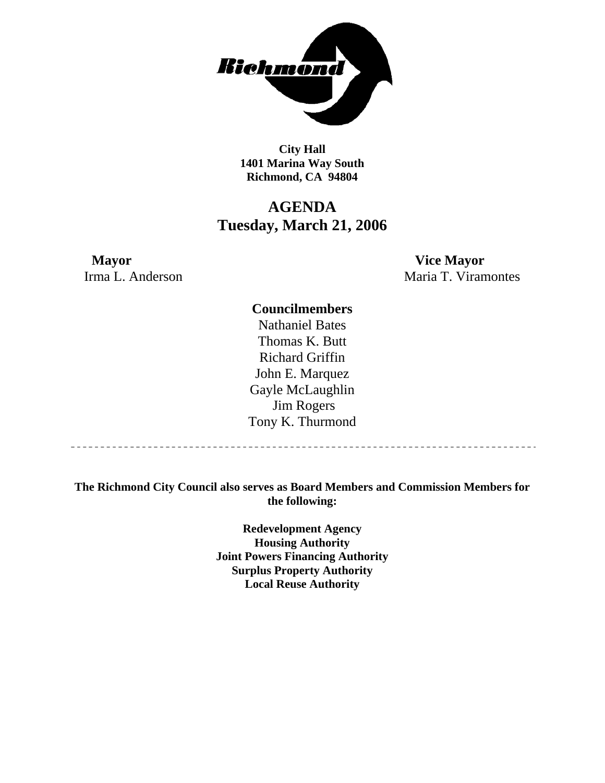

**City Hall 1401 Marina Way South Richmond, CA 94804** 

## **AGENDA Tuesday, March 21, 2006**

**Mayor Vice Mayor** 

Irma L. Anderson Maria T. Viramontes

### **Councilmembers**

Nathaniel Bates Thomas K. Butt Richard Griffin John E. Marquez Gayle McLaughlin Jim Rogers Tony K. Thurmond

---------------------------

**The Richmond City Council also serves as Board Members and Commission Members for the following:** 

> **Redevelopment Agency Housing Authority Joint Powers Financing Authority Surplus Property Authority Local Reuse Authority**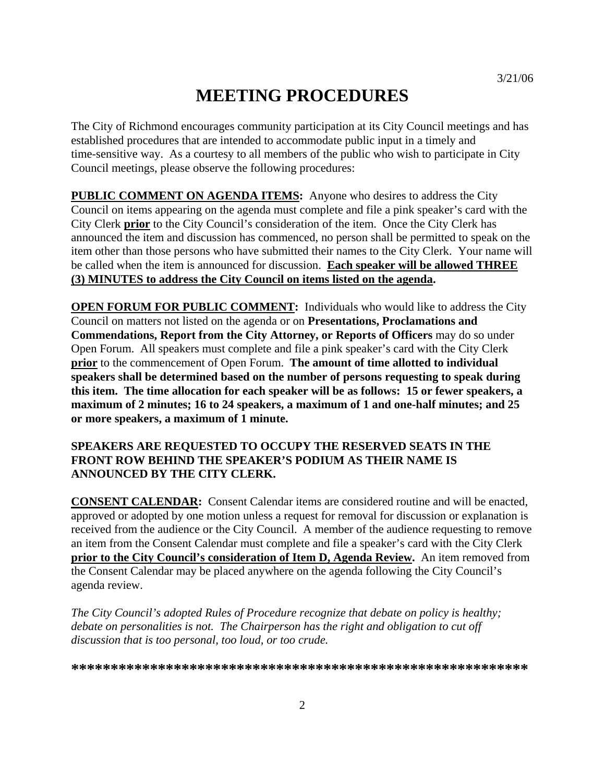# **MEETING PROCEDURES**

The City of Richmond encourages community participation at its City Council meetings and has established procedures that are intended to accommodate public input in a timely and time-sensitive way. As a courtesy to all members of the public who wish to participate in City Council meetings, please observe the following procedures:

**PUBLIC COMMENT ON AGENDA ITEMS:** Anyone who desires to address the City Council on items appearing on the agenda must complete and file a pink speaker's card with the City Clerk **prior** to the City Council's consideration of the item. Once the City Clerk has announced the item and discussion has commenced, no person shall be permitted to speak on the item other than those persons who have submitted their names to the City Clerk. Your name will be called when the item is announced for discussion. **Each speaker will be allowed THREE (3) MINUTES to address the City Council on items listed on the agenda.** 

**OPEN FORUM FOR PUBLIC COMMENT:** Individuals who would like to address the City Council on matters not listed on the agenda or on **Presentations, Proclamations and Commendations, Report from the City Attorney, or Reports of Officers** may do so under Open Forum. All speakers must complete and file a pink speaker's card with the City Clerk **prior** to the commencement of Open Forum. **The amount of time allotted to individual speakers shall be determined based on the number of persons requesting to speak during this item. The time allocation for each speaker will be as follows: 15 or fewer speakers, a maximum of 2 minutes; 16 to 24 speakers, a maximum of 1 and one-half minutes; and 25 or more speakers, a maximum of 1 minute.** 

### **SPEAKERS ARE REQUESTED TO OCCUPY THE RESERVED SEATS IN THE FRONT ROW BEHIND THE SPEAKER'S PODIUM AS THEIR NAME IS ANNOUNCED BY THE CITY CLERK.**

**CONSENT CALENDAR:** Consent Calendar items are considered routine and will be enacted, approved or adopted by one motion unless a request for removal for discussion or explanation is received from the audience or the City Council. A member of the audience requesting to remove an item from the Consent Calendar must complete and file a speaker's card with the City Clerk **prior to the City Council's consideration of Item D, Agenda Review.** An item removed from the Consent Calendar may be placed anywhere on the agenda following the City Council's agenda review.

*The City Council's adopted Rules of Procedure recognize that debate on policy is healthy; debate on personalities is not. The Chairperson has the right and obligation to cut off discussion that is too personal, too loud, or too crude.* 

**\*\*\*\*\*\*\*\*\*\*\*\*\*\*\*\*\*\*\*\*\*\*\*\*\*\*\*\*\*\*\*\*\*\*\*\*\*\*\*\*\*\*\*\*\*\*\*\*\*\*\*\*\*\*\*\*\*\***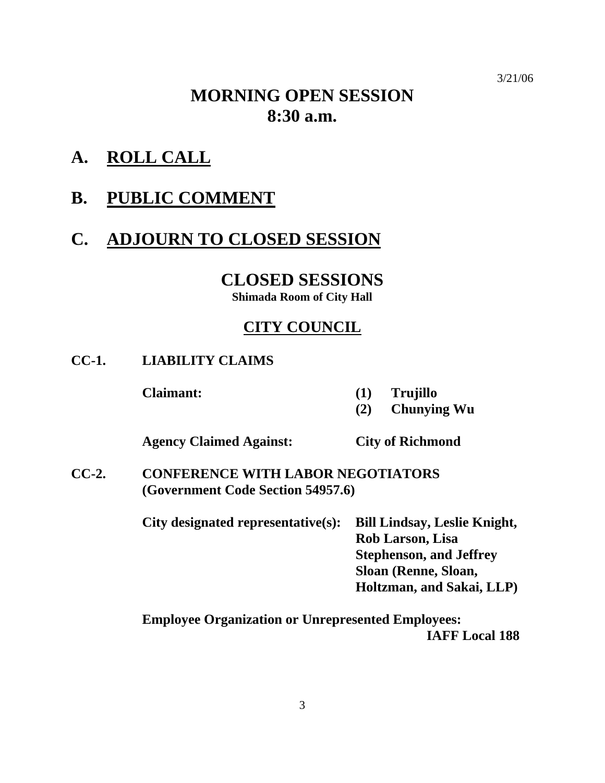#### 3/21/06

# **MORNING OPEN SESSION 8:30 a.m.**

**A. ROLL CALL**

## **B. PUBLIC COMMENT**

# **C. ADJOURN TO CLOSED SESSION**

**CLOSED SESSIONS** 

**Shimada Room of City Hall** 

## **CITY COUNCIL**

**CC-1. LIABILITY CLAIMS** 

 **Claimant: (1) Trujillo** 

 **(2) Chunying Wu** 

 **Agency Claimed Against: City of Richmond** 

**CC-2. CONFERENCE WITH LABOR NEGOTIATORS (Government Code Section 54957.6)** 

> **City designated representative(s): Bill Lindsay, Leslie Knight, Rob Larson, Lisa Stephenson, and Jeffrey Sloan (Renne, Sloan, Holtzman, and Sakai, LLP)**

> **Employee Organization or Unrepresented Employees: IAFF Local 188**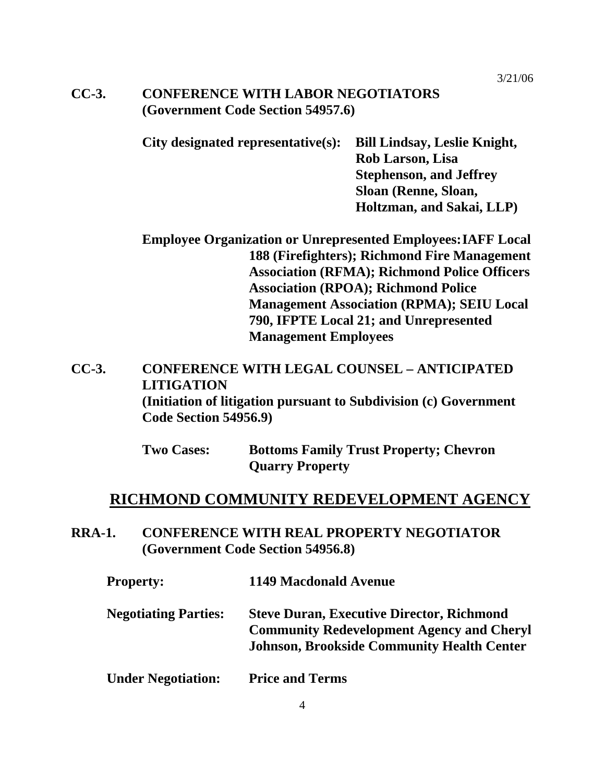## **CC-3. CONFERENCE WITH LABOR NEGOTIATORS (Government Code Section 54957.6)**

**City designated representative(s): Bill Lindsay, Leslie Knight, Rob Larson, Lisa Stephenson, and Jeffrey Sloan (Renne, Sloan, Holtzman, and Sakai, LLP)** 

**Employee Organization or Unrepresented Employees: IAFF Local 188 (Firefighters); Richmond Fire Management Association (RFMA); Richmond Police Officers Association (RPOA); Richmond Police Management Association (RPMA); SEIU Local 790, IFPTE Local 21; and Unrepresented Management Employees** 

**CC-3. CONFERENCE WITH LEGAL COUNSEL – ANTICIPATED LITIGATION (Initiation of litigation pursuant to Subdivision (c) Government Code Section 54956.9)** 

> **Two Cases: Bottoms Family Trust Property; Chevron Quarry Property**

## **RICHMOND COMMUNITY REDEVELOPMENT AGENCY**

**RRA-1. CONFERENCE WITH REAL PROPERTY NEGOTIATOR (Government Code Section 54956.8)** 

| <b>Property:</b>            | <b>1149 Macdonald Avenue</b>                                                                                                                              |
|-----------------------------|-----------------------------------------------------------------------------------------------------------------------------------------------------------|
| <b>Negotiating Parties:</b> | <b>Steve Duran, Executive Director, Richmond</b><br><b>Community Redevelopment Agency and Cheryl</b><br><b>Johnson, Brookside Community Health Center</b> |
|                             |                                                                                                                                                           |

**Under Negotiation: Price and Terms**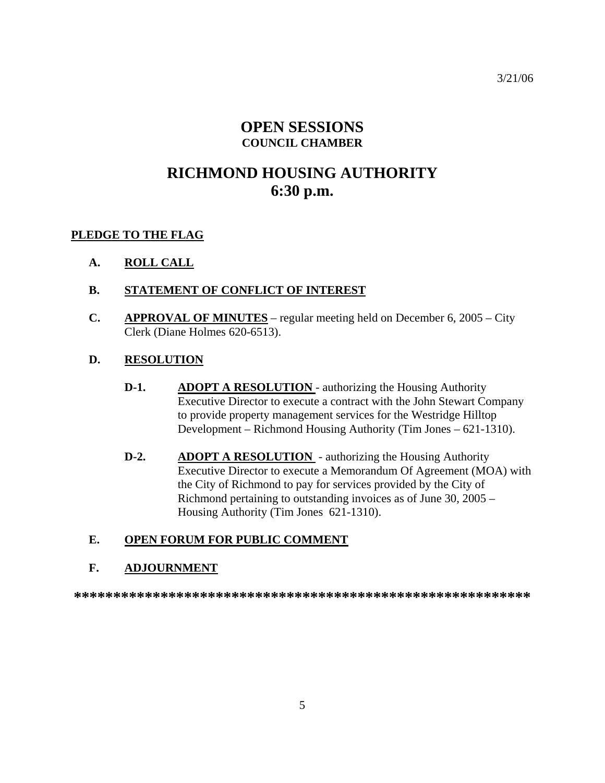## **OPEN SESSIONS COUNCIL CHAMBER**

# **RICHMOND HOUSING AUTHORITY 6:30 p.m.**

### **PLEDGE TO THE FLAG**

- **A. ROLL CALL**
- **B. STATEMENT OF CONFLICT OF INTEREST**
- **C. APPROVAL OF MINUTES** regular meeting held on December 6, 2005 City Clerk (Diane Holmes 620-6513).
- **D. RESOLUTION**
	- **D-1.** ADOPT A RESOLUTION authorizing the Housing Authority Executive Director to execute a contract with the John Stewart Company to provide property management services for the Westridge Hilltop Development – Richmond Housing Authority (Tim Jones – 621-1310).
	- **D-2.** ADOPT A RESOLUTION authorizing the Housing Authority Executive Director to execute a Memorandum Of Agreement (MOA) with the City of Richmond to pay for services provided by the City of Richmond pertaining to outstanding invoices as of June 30, 2005 – Housing Authority (Tim Jones 621-1310).

## **E. OPEN FORUM FOR PUBLIC COMMENT**

#### **F. ADJOURNMENT**

**\*\*\*\*\*\*\*\*\*\*\*\*\*\*\*\*\*\*\*\*\*\*\*\*\*\*\*\*\*\*\*\*\*\*\*\*\*\*\*\*\*\*\*\*\*\*\*\*\*\*\*\*\*\*\*\*\*\***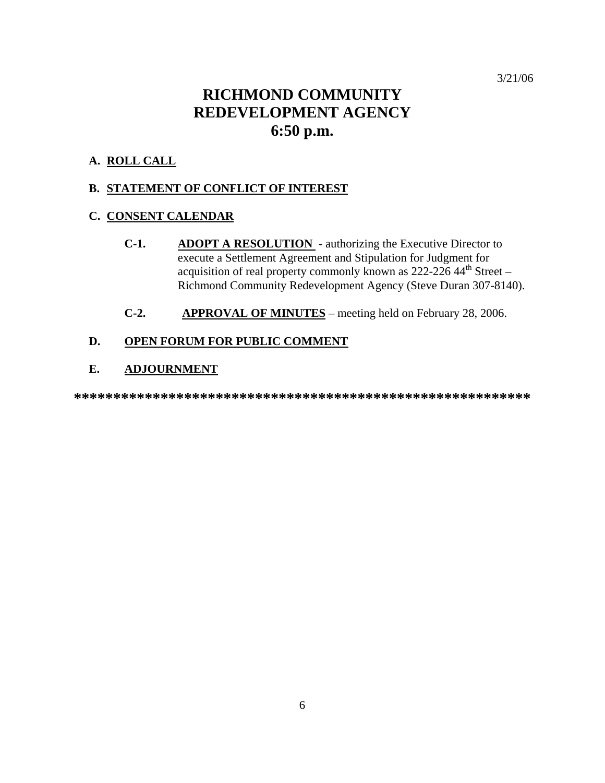## **RICHMOND COMMUNITY REDEVELOPMENT AGENCY 6:50 p.m.**

### **A. ROLL CALL**

#### **B. STATEMENT OF CONFLICT OF INTEREST**

### **C. CONSENT CALENDAR**

- **C-1. ADOPT A RESOLUTION**  authorizing the Executive Director to execute a Settlement Agreement and Stipulation for Judgment for acquisition of real property commonly known as  $222-22644$ <sup>th</sup> Street – Richmond Community Redevelopment Agency (Steve Duran 307-8140).
- **C-2. APPROVAL OF MINUTES** meeting held on February 28, 2006.

## **D. OPEN FORUM FOR PUBLIC COMMENT**

#### **E. ADJOURNMENT**

**\*\*\*\*\*\*\*\*\*\*\*\*\*\*\*\*\*\*\*\*\*\*\*\*\*\*\*\*\*\*\*\*\*\*\*\*\*\*\*\*\*\*\*\*\*\*\*\*\*\*\*\*\*\*\*\*\*\***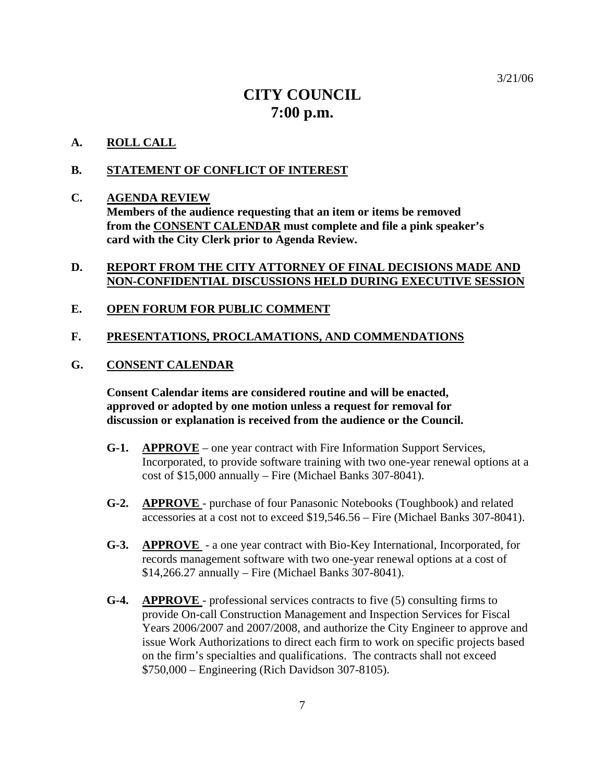## **CITY COUNCIL 7:00 p.m.**

#### **A. ROLL CALL**

#### **B. STATEMENT OF CONFLICT OF INTEREST**

#### **C. AGENDA REVIEW**

 **Members of the audience requesting that an item or items be removed from the CONSENT CALENDAR must complete and file a pink speaker's card with the City Clerk prior to Agenda Review.** 

## **D. REPORT FROM THE CITY ATTORNEY OF FINAL DECISIONS MADE AND NON-CONFIDENTIAL DISCUSSIONS HELD DURING EXECUTIVE SESSION**

#### **E. OPEN FORUM FOR PUBLIC COMMENT**

#### **F. PRESENTATIONS, PROCLAMATIONS, AND COMMENDATIONS**

#### **G. CONSENT CALENDAR**

 **Consent Calendar items are considered routine and will be enacted, approved or adopted by one motion unless a request for removal for discussion or explanation is received from the audience or the Council.** 

- **G-1. APPROVE** one year contract with Fire Information Support Services, Incorporated, to provide software training with two one-year renewal options at a cost of \$15,000 annually – Fire (Michael Banks 307-8041).
- **G-2. APPROVE**  purchase of four Panasonic Notebooks (Toughbook) and related accessories at a cost not to exceed \$19,546.56 – Fire (Michael Banks 307-8041).
- **G-3. APPROVE**  a one year contract with Bio-Key International, Incorporated, for records management software with two one-year renewal options at a cost of \$14,266.27 annually – Fire (Michael Banks 307-8041).
- **G-4. APPROVE**  professional services contracts to five (5) consulting firms to provide On-call Construction Management and Inspection Services for Fiscal Years 2006/2007 and 2007/2008, and authorize the City Engineer to approve and issue Work Authorizations to direct each firm to work on specific projects based on the firm's specialties and qualifications. The contracts shall not exceed \$750,000 – Engineering (Rich Davidson 307-8105).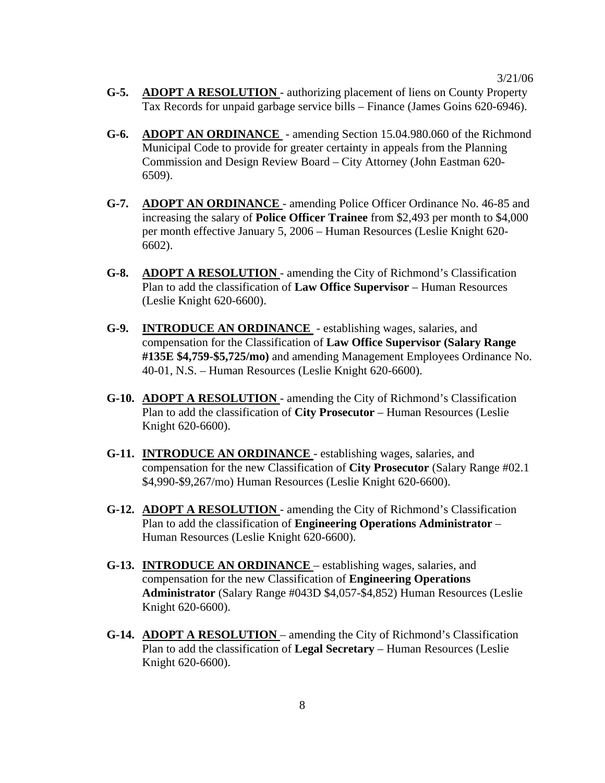- **G-5. ADOPT A RESOLUTION**  authorizing placement of liens on County Property Tax Records for unpaid garbage service bills – Finance (James Goins 620-6946).
- **G-6. ADOPT AN ORDINANCE**  amending Section 15.04.980.060 of the Richmond Municipal Code to provide for greater certainty in appeals from the Planning Commission and Design Review Board – City Attorney (John Eastman 620- 6509).
- **G-7. ADOPT AN ORDINANCE**  amending Police Officer Ordinance No. 46-85 and increasing the salary of **Police Officer Trainee** from \$2,493 per month to \$4,000 per month effective January 5, 2006 – Human Resources (Leslie Knight 620- 6602).
- **G-8. ADOPT A RESOLUTION**  amending the City of Richmond's Classification Plan to add the classification of **Law Office Supervisor** – Human Resources (Leslie Knight 620-6600).
- **G-9. INTRODUCE AN ORDINANCE**  establishing wages, salaries, and compensation for the Classification of **Law Office Supervisor (Salary Range #135E \$4,759-\$5,725/mo)** and amending Management Employees Ordinance No. 40-01, N.S. – Human Resources (Leslie Knight 620-6600).
- **G-10. ADOPT A RESOLUTION**  amending the City of Richmond's Classification Plan to add the classification of **City Prosecutor** – Human Resources (Leslie Knight 620-6600).
- **G-11. INTRODUCE AN ORDINANCE**  establishing wages, salaries, and compensation for the new Classification of **City Prosecutor** (Salary Range #02.1 \$4,990-\$9,267/mo) Human Resources (Leslie Knight 620-6600).
- **G-12. ADOPT A RESOLUTION**  amending the City of Richmond's Classification Plan to add the classification of **Engineering Operations Administrator** – Human Resources (Leslie Knight 620-6600).
- **G-13. INTRODUCE AN ORDINANCE**  establishing wages, salaries, and compensation for the new Classification of **Engineering Operations Administrator** (Salary Range #043D \$4,057-\$4,852) Human Resources (Leslie Knight 620-6600).
- **G-14. ADOPT A RESOLUTION**  amending the City of Richmond's Classification Plan to add the classification of **Legal Secretary** – Human Resources (Leslie Knight 620-6600).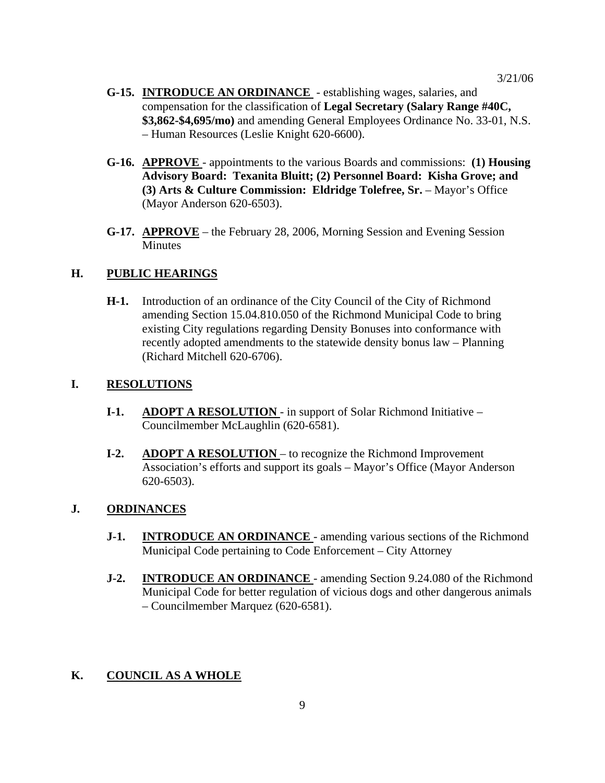- **G-15. INTRODUCE AN ORDINANCE**  establishing wages, salaries, and compensation for the classification of **Legal Secretary (Salary Range #40C, \$3,862-\$4,695/mo)** and amending General Employees Ordinance No. 33-01, N.S. – Human Resources (Leslie Knight 620-6600).
- **G-16. APPROVE**  appointments to the various Boards and commissions: **(1) Housing Advisory Board: Texanita Bluitt; (2) Personnel Board: Kisha Grove; and (3) Arts & Culture Commission: Eldridge Tolefree, Sr.** – Mayor's Office (Mayor Anderson 620-6503).
- **G-17. APPROVE** the February 28, 2006, Morning Session and Evening Session **Minutes**

#### **H. PUBLIC HEARINGS**

**H-1.** Introduction of an ordinance of the City Council of the City of Richmond amending Section 15.04.810.050 of the Richmond Municipal Code to bring existing City regulations regarding Density Bonuses into conformance with recently adopted amendments to the statewide density bonus law – Planning (Richard Mitchell 620-6706).

#### **I. RESOLUTIONS**

- **I-1.** ADOPT A RESOLUTION in support of Solar Richmond Initiative Councilmember McLaughlin (620-6581).
- **I-2.** ADOPT A RESOLUTION to recognize the Richmond Improvement Association's efforts and support its goals – Mayor's Office (Mayor Anderson 620-6503).

#### **J. ORDINANCES**

- **J-1. INTRODUCE AN ORDINANCE** amending various sections of the Richmond Municipal Code pertaining to Code Enforcement – City Attorney
- **J-2. INTRODUCE AN ORDINANCE**  amending Section 9.24.080 of the Richmond Municipal Code for better regulation of vicious dogs and other dangerous animals – Councilmember Marquez (620-6581).

## **K. COUNCIL AS A WHOLE**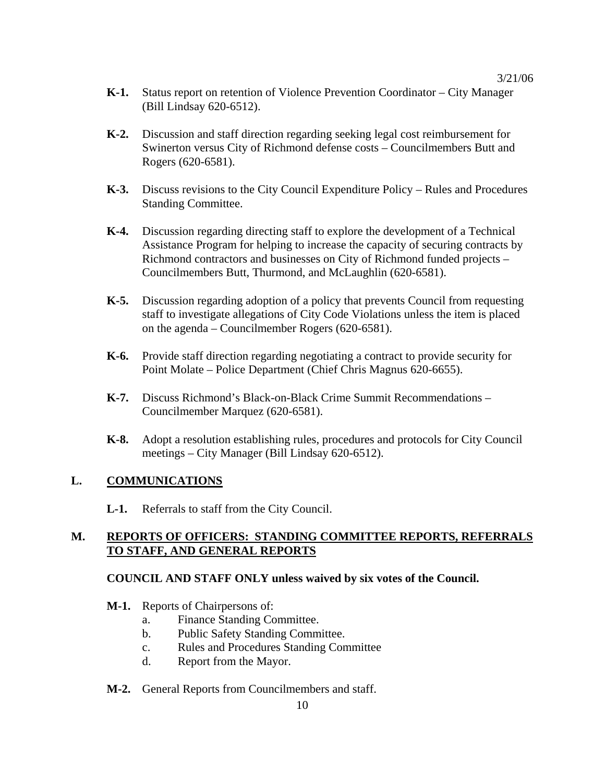- **K-1.** Status report on retention of Violence Prevention Coordinator City Manager (Bill Lindsay 620-6512).
- **K-2.** Discussion and staff direction regarding seeking legal cost reimbursement for Swinerton versus City of Richmond defense costs – Councilmembers Butt and Rogers (620-6581).
- **K-3.** Discuss revisions to the City Council Expenditure Policy Rules and Procedures Standing Committee.
- **K-4.** Discussion regarding directing staff to explore the development of a Technical Assistance Program for helping to increase the capacity of securing contracts by Richmond contractors and businesses on City of Richmond funded projects – Councilmembers Butt, Thurmond, and McLaughlin (620-6581).
- **K-5.** Discussion regarding adoption of a policy that prevents Council from requesting staff to investigate allegations of City Code Violations unless the item is placed on the agenda – Councilmember Rogers (620-6581).
- **K-6.** Provide staff direction regarding negotiating a contract to provide security for Point Molate – Police Department (Chief Chris Magnus 620-6655).
- **K-7.** Discuss Richmond's Black-on-Black Crime Summit Recommendations Councilmember Marquez (620-6581).
- **K-8.** Adopt a resolution establishing rules, procedures and protocols for City Council meetings – City Manager (Bill Lindsay 620-6512).

## **L. COMMUNICATIONS**

 **L-1.** Referrals to staff from the City Council.

### **M. REPORTS OF OFFICERS: STANDING COMMITTEE REPORTS, REFERRALS TO STAFF, AND GENERAL REPORTS**

## **COUNCIL AND STAFF ONLY unless waived by six votes of the Council.**

- **M-1.** Reports of Chairpersons of:
	- a. Finance Standing Committee.
	- b. Public Safety Standing Committee.
	- c. Rules and Procedures Standing Committee
	- d. Report from the Mayor.
- **M-2.** General Reports from Councilmembers and staff.